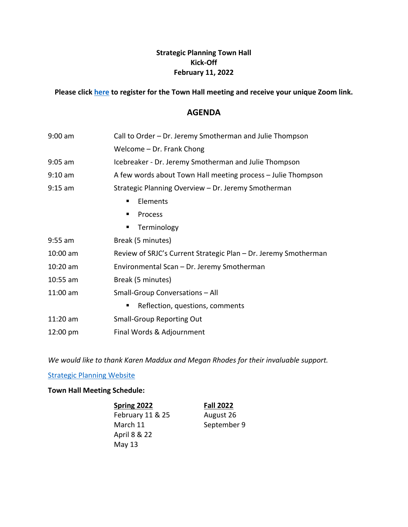## **Strategic Planning Town Hall Kick-Off February 11, 2022**

## **Please click [here](https://strategic-planning.santarosa.edu/town-hall-meeting-schedule) to register for the Town Hall meeting and receive your unique Zoom link.**

## **AGENDA**

| $9:00$ am                            | Call to Order - Dr. Jeremy Smotherman and Julie Thompson        |  |
|--------------------------------------|-----------------------------------------------------------------|--|
|                                      | Welcome - Dr. Frank Chong                                       |  |
| $9:05$ am                            | Icebreaker - Dr. Jeremy Smotherman and Julie Thompson           |  |
| $9:10$ am                            | A few words about Town Hall meeting process - Julie Thompson    |  |
| $9:15$ am                            | Strategic Planning Overview - Dr. Jeremy Smotherman             |  |
|                                      | Elements<br>п                                                   |  |
|                                      | <b>Process</b><br>п                                             |  |
|                                      | Terminology<br>٠                                                |  |
| $9:55$ am                            | Break (5 minutes)                                               |  |
| 10:00 am                             | Review of SRJC's Current Strategic Plan - Dr. Jeremy Smotherman |  |
| $10:20$ am                           | Environmental Scan - Dr. Jeremy Smotherman                      |  |
| $10:55$ am                           | Break (5 minutes)                                               |  |
| 11:00 am                             | <b>Small-Group Conversations - All</b>                          |  |
| Reflection, questions, comments<br>п |                                                                 |  |
| $11:20$ am                           | <b>Small-Group Reporting Out</b>                                |  |
| 12:00 pm                             | Final Words & Adjournment                                       |  |

*We would like to thank Karen Maddux and Megan Rhodes for their invaluable support.*

**[Strategic Planning Website](https://strategic-planning.santarosa.edu/)** 

#### **Town Hall Meeting Schedule:**

**Spring 2022 Fall 2022** February 11 & 25 August 26 March 11 September 9 April 8 & 22 May 13